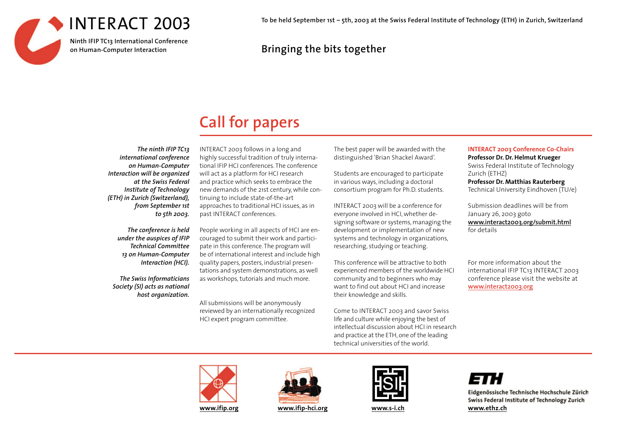

**To be held September 1st – 5th, 2003 at the Swiss Federal Institute of Technology (ETH) in Zurich, Switzerland**

## **Bringing the bits together**

# **Call for papers**

*The ninth IFIP TC13 international conference on Human-Computer Interaction will be organized at the Swiss Federal Institute of Technology (ETH) in Zurich (Switzerland), from September 1st to 5th 2003.*

> *The conference is held under the auspices of IFIP Technical Committee 13 on Human-Computer Interaction (HCI).*

*The Swiss Informaticians Society (SI) acts as national host organization.*

INTERACT 2003 follows in a long and highly successful tradition of truly international IFIP HCI conferences. The conference will act as a platform for HCI research and practice which seeks to embrace the new demands of the 21st century, while continuing to include state-of-the-art approaches to traditional HCI issues, as in pas<sup>t</sup> INTERACT conferences.

People working in all aspects of HCI are encouraged to submit their work and participate in this conference. The program will be of international interest and include high quality papers, posters, industrial presentations and system demonstrations, as well as workshops, tutorials and much more.

All submissions will be anonymously reviewed by an internationally recognized HCI expert program committee.

The best paper will be awarded with the distinguished 'Brian Shackel Award'.

Students are encouraged to participate in various ways, including a doctoral consortium program for Ph.D. students.

INTERACT 2003 will be a conference for everyone involved in HCI, whether designing software or systems, managing the development or implementation of new systems and technology in organizations, researching, studying or teaching.

This conference will be attractive to both experienced members of the worldwide HCI community and to beginners who may want to find out about HCI and increase their knowledge and skills.

Come to INTERACT 2003 and savor Swiss life and culture while enjoying the best of intellectual discussion about HCI in research and practice at the ETH, one of the leading technical universities of the world.

#### **INTERACT 2003 Conference Co-Chairs**

**Professor Dr. Dr. Helmut Krueger** Swiss Federal Institute of Technology Zurich (ETHZ) **Professor Dr. Matthias Rauterberg** Technical University Eindhoven (TU/e)

Submission deadlines will be from January 26, 2003 goto **www.interact2003.org/submit.html** for details

For more information about the international IFIP TC13 INTERACT 2003 conference please visit the website at **www.interact2003.org**







## ETH.

Eidgenössische Technische Hochschule Zürich Swiss Federal Institute of Technology Zurich **www.s-i.ch www.ethz.ch**

**www.ifip.org www.ifip-hci.org**